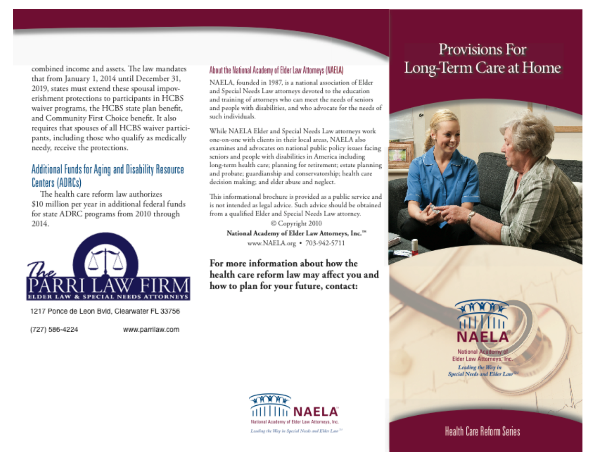combined income and assets. The law mandates that from January 1, 2014 until December 31, 2019, states must extend these spousal impoverishment protections to participants in HCBS waiver programs, the HCBS state plan benefit, and Community First Choice benefit. It also requires that spouses of all HCBS waiver participants, including those who qualify as medically needy, receive the protections.

# Additional Funds for Aging and Disability Resource Centers (ADRCs)

The health care reform law authorizes \$10 million per year in additional federal funds for state ADRC programs from 2010 through 2014.



1217 Ponce de Leon Bvld, Clearwater FL 33756

(727) 586-4224

www.parrilaw.com

### About the National Academy of Elder Law Attorneys (NAELA)

NAELA, founded in 1987, is a national association of Elder and Special Needs Law attorneys devoted to the education and training of attorneys who can meet the needs of seniors and people with disabilities, and who advocate for the needs of such individuals.

While NAELA Elder and Special Needs Law attorneys work one-on-one with clients in their local areas. NAELA also examines and advocates on national public policy issues facing seniors and people with disabilities in America including long-term health care; planning for retirement; estate planning and probate; guardianship and conservatorship; health care decision making; and elder abuse and neglect.

This informational brochure is provided as a public service and is not intended as legal advice. Such advice should be obtained from a qualified Elder and Special Needs Law attorney.

© Copyright 2010 National Academy of Elder Law Attorneys, Inc.™ www.NAELA.org • 703-942-5711

For more information about how the health care reform law may affect you and how to plan for your future, contact:

# National Academy of Elder Law Attorneys, Inc. Leading the Way in Special Nords and Elder Law<sup>3</sup>

# Provisions For Long-Term Care at Home



**National Academy** 

Elder Law Attorneys, Inc. Leading the Way in Special Needs and Elder Law

**Health Care Reform Series**